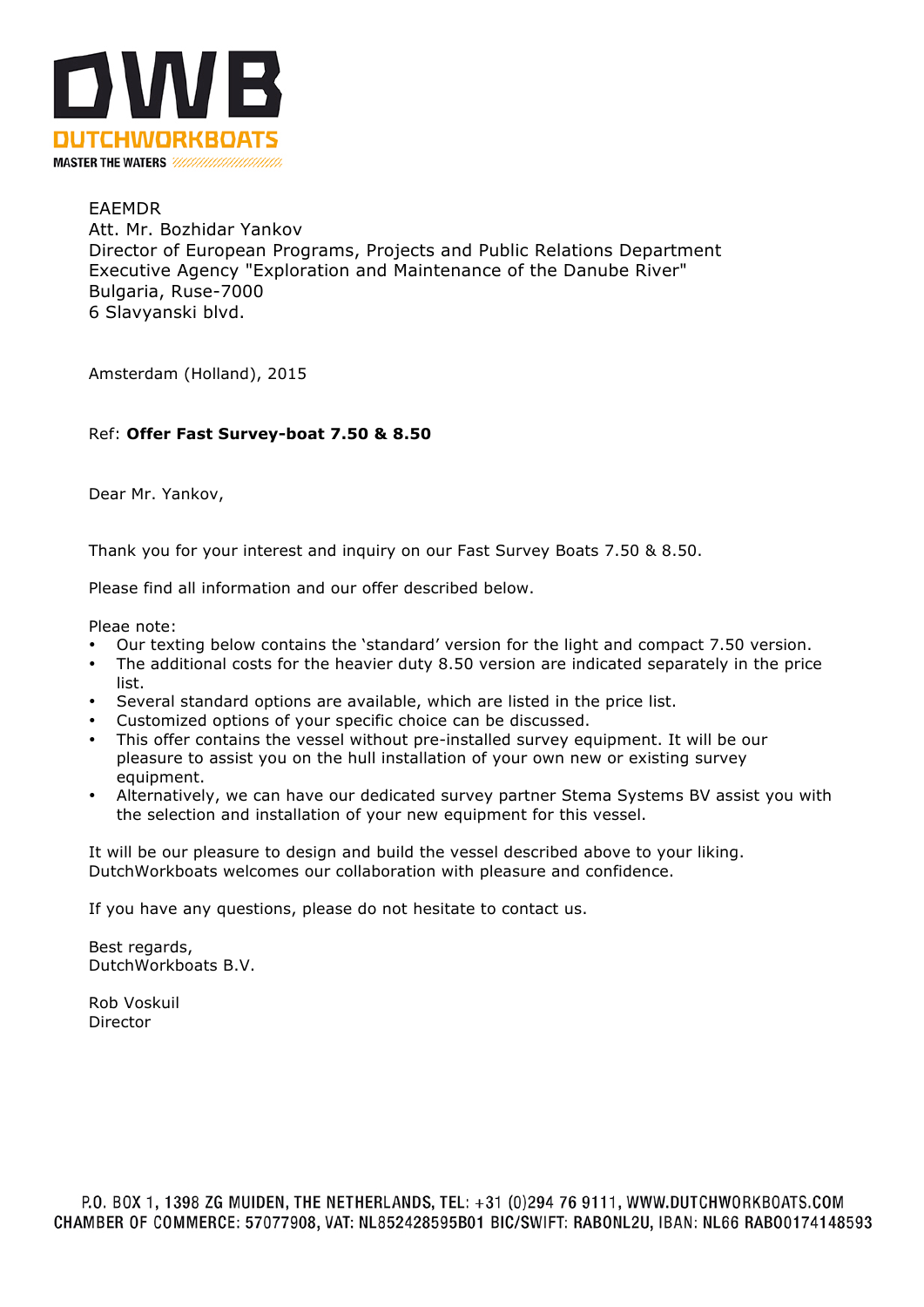

# EAEMDR Att. Mr. Bozhidar Yankov Director of European Programs, Projects and Public Relations Department Executive Agency "Exploration and Maintenance of the Danube River" Bulgaria, Ruse-7000 6 Slavyanski blvd.

Amsterdam (Holland), 2015

# Ref: **Offer Fast Survey-boat 7.50 & 8.50**

Dear Mr. Yankov,

Thank you for your interest and inquiry on our Fast Survey Boats 7.50 & 8.50.

Please find all information and our offer described below.

Pleae note:

- Our texting below contains the 'standard' version for the light and compact 7.50 version.
- The additional costs for the heavier duty 8.50 version are indicated separately in the price list.
- Several standard options are available, which are listed in the price list.
- Customized options of your specific choice can be discussed.
- This offer contains the vessel without pre-installed survey equipment. It will be our pleasure to assist you on the hull installation of your own new or existing survey equipment.
- Alternatively, we can have our dedicated survey partner Stema Systems BV assist you with the selection and installation of your new equipment for this vessel.

It will be our pleasure to design and build the vessel described above to your liking. DutchWorkboats welcomes our collaboration with pleasure and confidence.

If you have any questions, please do not hesitate to contact us.

Best regards, DutchWorkboats B.V.

Rob Voskuil Director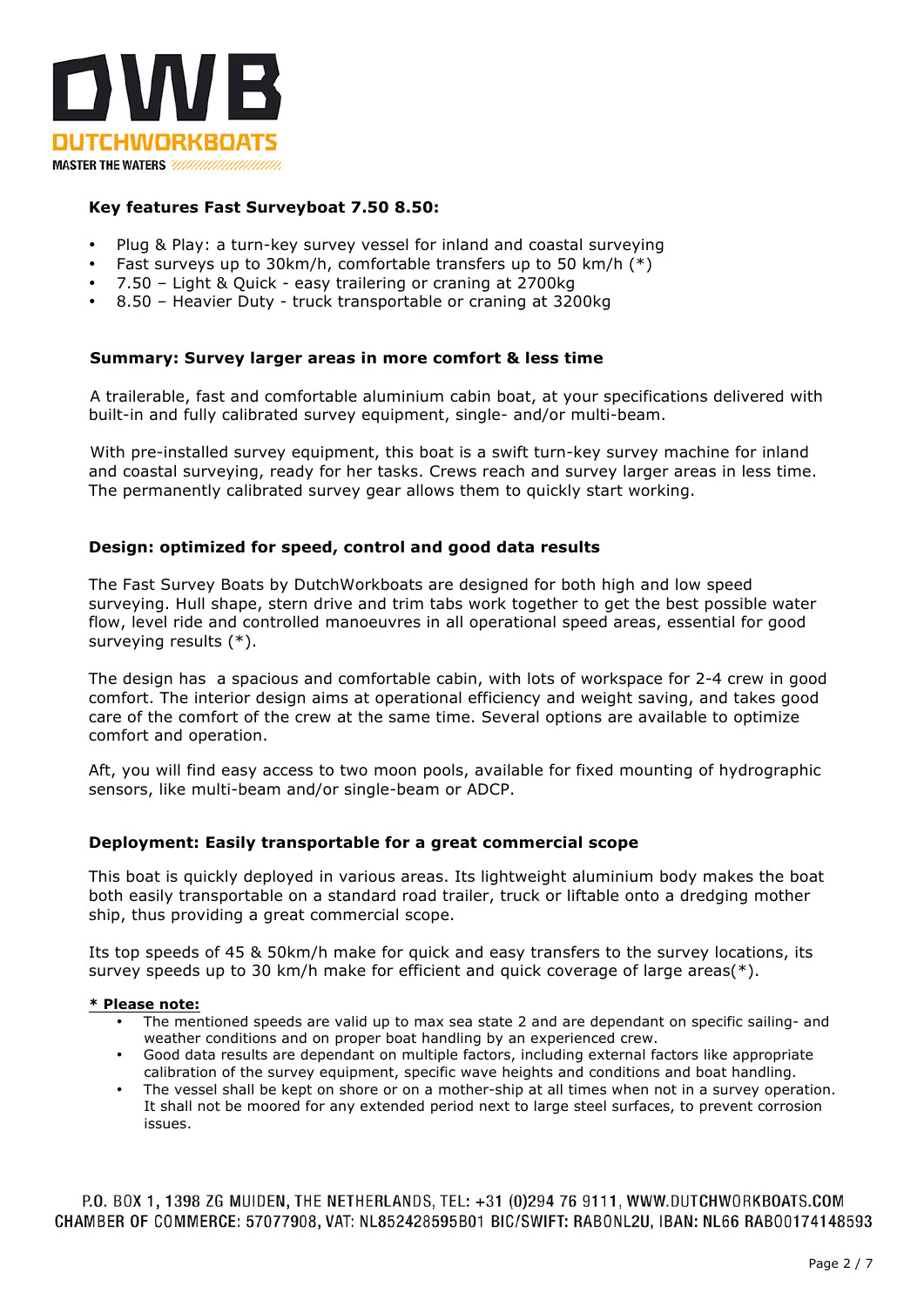

## **Key features Fast Surveyboat 7.50 8.50:**

- Plug & Play: a turn-key survey vessel for inland and coastal surveying
- Fast surveys up to 30km/h, comfortable transfers up to 50 km/h  $(*)$
- 7.50 Light & Quick easy trailering or craning at 2700kg
- 8.50 Heavier Duty truck transportable or craning at 3200kg

### **Summary: Survey larger areas in more comfort & less time**

A trailerable, fast and comfortable aluminium cabin boat, at your specifications delivered with built-in and fully calibrated survey equipment, single- and/or multi-beam.

With pre-installed survey equipment, this boat is a swift turn-key survey machine for inland and coastal surveying, ready for her tasks. Crews reach and survey larger areas in less time. The permanently calibrated survey gear allows them to quickly start working.

#### **Design: optimized for speed, control and good data results**

The Fast Survey Boats by DutchWorkboats are designed for both high and low speed surveying. Hull shape, stern drive and trim tabs work together to get the best possible water flow, level ride and controlled manoeuvres in all operational speed areas, essential for good surveying results (\*).

The design has a spacious and comfortable cabin, with lots of workspace for 2-4 crew in good comfort. The interior design aims at operational efficiency and weight saving, and takes good care of the comfort of the crew at the same time. Several options are available to optimize comfort and operation.

Aft, you will find easy access to two moon pools, available for fixed mounting of hydrographic sensors, like multi-beam and/or single-beam or ADCP.

## **Deployment: Easily transportable for a great commercial scope**

This boat is quickly deployed in various areas. Its lightweight aluminium body makes the boat both easily transportable on a standard road trailer, truck or liftable onto a dredging mother ship, thus providing a great commercial scope.

Its top speeds of 45 & 50km/h make for quick and easy transfers to the survey locations, its survey speeds up to 30 km/h make for efficient and quick coverage of large areas( $*$ ).

#### **\* Please note:**

- The mentioned speeds are valid up to max sea state 2 and are dependant on specific sailing- and weather conditions and on proper boat handling by an experienced crew.
- Good data results are dependant on multiple factors, including external factors like appropriate calibration of the survey equipment, specific wave heights and conditions and boat handling.
- The vessel shall be kept on shore or on a mother-ship at all times when not in a survey operation. It shall not be moored for any extended period next to large steel surfaces, to prevent corrosion issues.

P.O. BOX 1, 1398 ZG MUIDEN, THE NETHERLANDS, TEL: +31 (0)294 76 9111, WWW.DUTCHWORKBOATS.COM CHAMBER OF COMMERCE: 57077908, VAT: NL852428595B01 BIC/SWIFT: RABONL2U, IBAN: NL66 RAB00174148593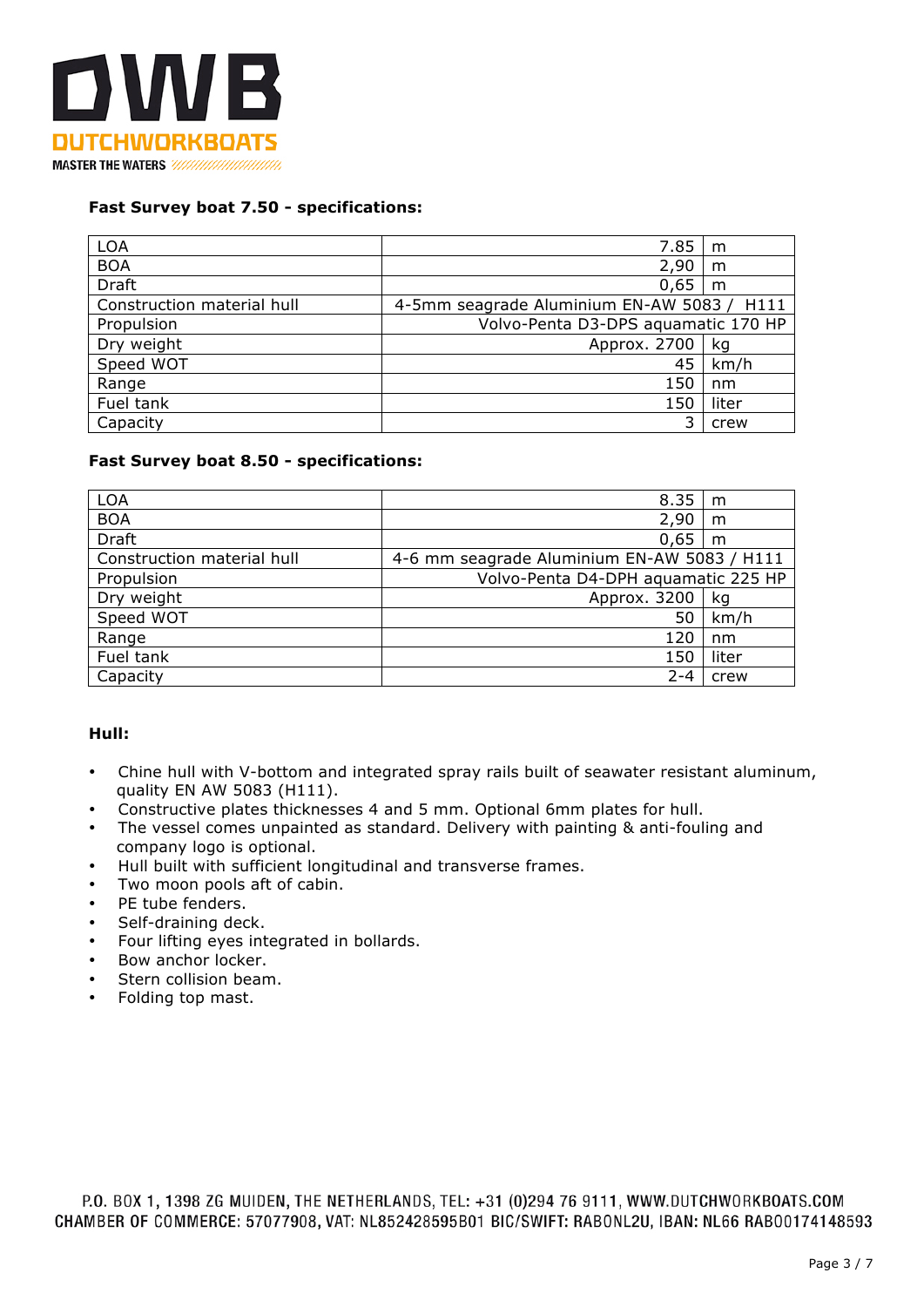

## **Fast Survey boat 7.50 - specifications:**

| <b>LOA</b>                 | 7.85                                       | m     |
|----------------------------|--------------------------------------------|-------|
| <b>BOA</b>                 | 2,90                                       | m     |
| Draft                      | 0,65                                       | m     |
| Construction material hull | 4-5mm seagrade Aluminium EN-AW 5083 / H111 |       |
| Propulsion                 | Volvo-Penta D3-DPS aquamatic 170 HP        |       |
| Dry weight                 | Approx. 2700                               | ka    |
| Speed WOT                  | 45                                         | km/h  |
| Range                      | 150                                        | nm    |
| Fuel tank                  | 150                                        | liter |
| Capacity                   | 3                                          | crew  |

## **Fast Survey boat 8.50 - specifications:**

| <b>LOA</b>                 | 8.35                                        | m     |
|----------------------------|---------------------------------------------|-------|
| <b>BOA</b>                 | 2,90                                        | m     |
| <b>Draft</b>               | 0,65                                        | m     |
| Construction material hull | 4-6 mm seagrade Aluminium EN-AW 5083 / H111 |       |
| Propulsion                 | Volvo-Penta D4-DPH aquamatic 225 HP         |       |
| Dry weight                 | Approx. 3200                                | ka    |
| Speed WOT                  | 50                                          | km/h  |
| Range                      | 120                                         | nm    |
| Fuel tank                  | 150                                         | liter |
| Capacity                   | $2 - 4$                                     | crew  |

# **Hull:**

- Chine hull with V-bottom and integrated spray rails built of seawater resistant aluminum, quality EN AW 5083 (H111).
- Constructive plates thicknesses 4 and 5 mm. Optional 6mm plates for hull.
- The vessel comes unpainted as standard. Delivery with painting & anti-fouling and company logo is optional.
- Hull built with sufficient longitudinal and transverse frames.
- Two moon pools aft of cabin.
- PE tube fenders.
- Self-draining deck.
- Four lifting eyes integrated in bollards.
- Bow anchor locker.
- Stern collision beam.
- Folding top mast.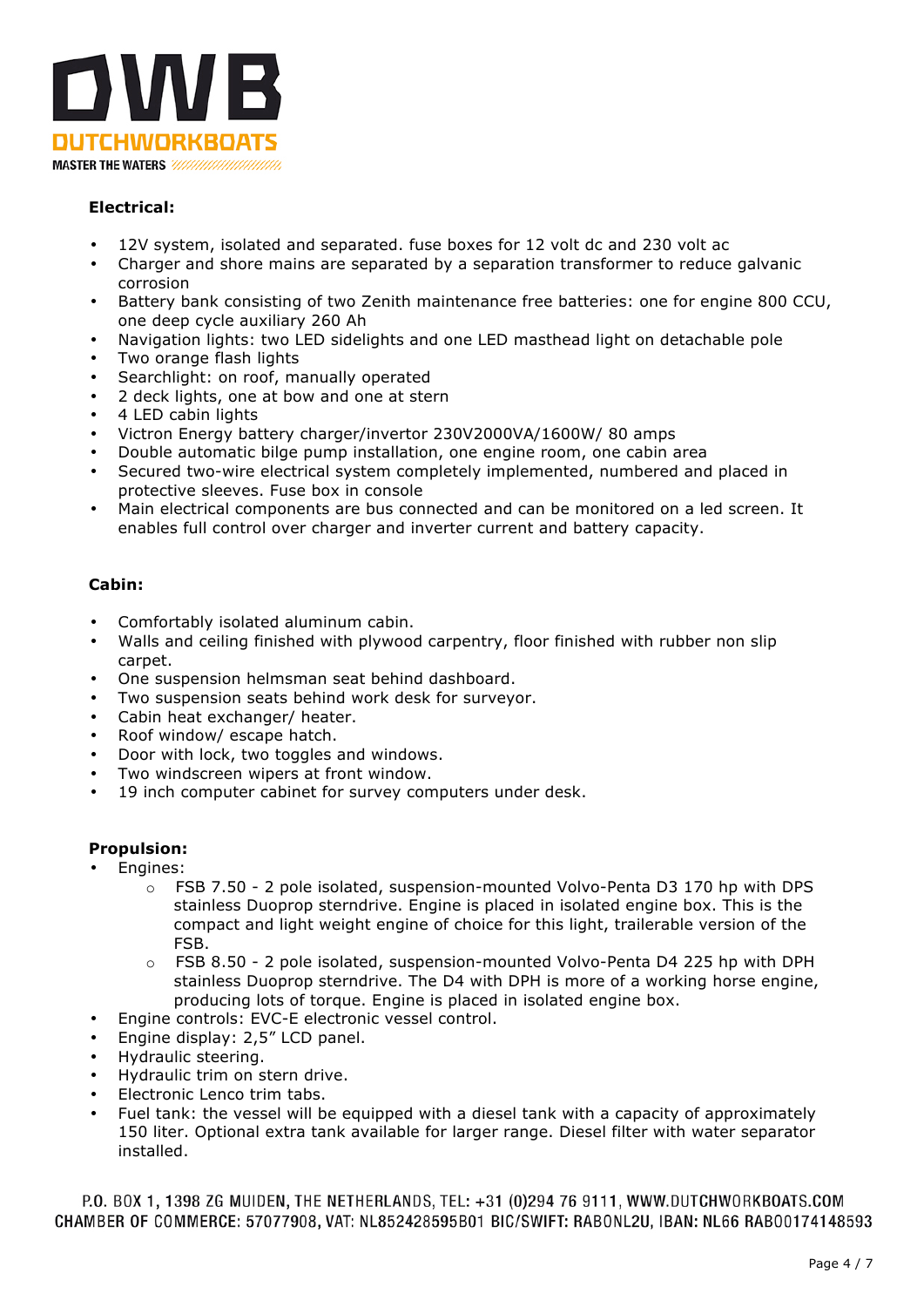

# **Electrical:**

- 12V system, isolated and separated. fuse boxes for 12 volt dc and 230 volt ac
- Charger and shore mains are separated by a separation transformer to reduce galvanic corrosion
- Battery bank consisting of two Zenith maintenance free batteries: one for engine 800 CCU, one deep cycle auxiliary 260 Ah
- Navigation lights: two LED sidelights and one LED masthead light on detachable pole
- Two orange flash lights
- Searchlight: on roof, manually operated
- 2 deck lights, one at bow and one at stern
- 4 LED cabin lights
- Victron Energy battery charger/invertor 230V2000VA/1600W/ 80 amps
- Double automatic bilge pump installation, one engine room, one cabin area
- Secured two-wire electrical system completely implemented, numbered and placed in protective sleeves. Fuse box in console
- Main electrical components are bus connected and can be monitored on a led screen. It enables full control over charger and inverter current and battery capacity.

## **Cabin:**

- Comfortably isolated aluminum cabin.
- Walls and ceiling finished with plywood carpentry, floor finished with rubber non slip carpet.
- One suspension helmsman seat behind dashboard.
- Two suspension seats behind work desk for surveyor.
- Cabin heat exchanger/ heater.
- Roof window/ escape hatch.
- Door with lock, two toggles and windows.
- Two windscreen wipers at front window.
- 19 inch computer cabinet for survey computers under desk.

# **Propulsion:**

- Engines:
	- $\circ$  FSB 7.50 2 pole isolated, suspension-mounted Volvo-Penta D3 170 hp with DPS stainless Duoprop sterndrive. Engine is placed in isolated engine box. This is the compact and light weight engine of choice for this light, trailerable version of the FSB.
	- $\circ$  FSB 8.50 2 pole isolated, suspension-mounted Volvo-Penta D4 225 hp with DPH stainless Duoprop sterndrive. The D4 with DPH is more of a working horse engine, producing lots of torque. Engine is placed in isolated engine box.
- Engine controls: EVC-E electronic vessel control.
- Engine display: 2,5" LCD panel.
- Hydraulic steering.
- Hydraulic trim on stern drive.
- Electronic Lenco trim tabs.
- Fuel tank: the vessel will be equipped with a diesel tank with a capacity of approximately 150 liter. Optional extra tank available for larger range. Diesel filter with water separator installed.

P.O. BOX 1, 1398 ZG MUIDEN, THE NETHERLANDS, TEL: +31 (0)294 76 9111, WWW.DUTCHWORKBOATS.COM CHAMBER OF COMMERCE: 57077908, VAT: NL852428595B01 BIC/SWIFT: RABONL2U, IBAN: NL66 RABO0174148593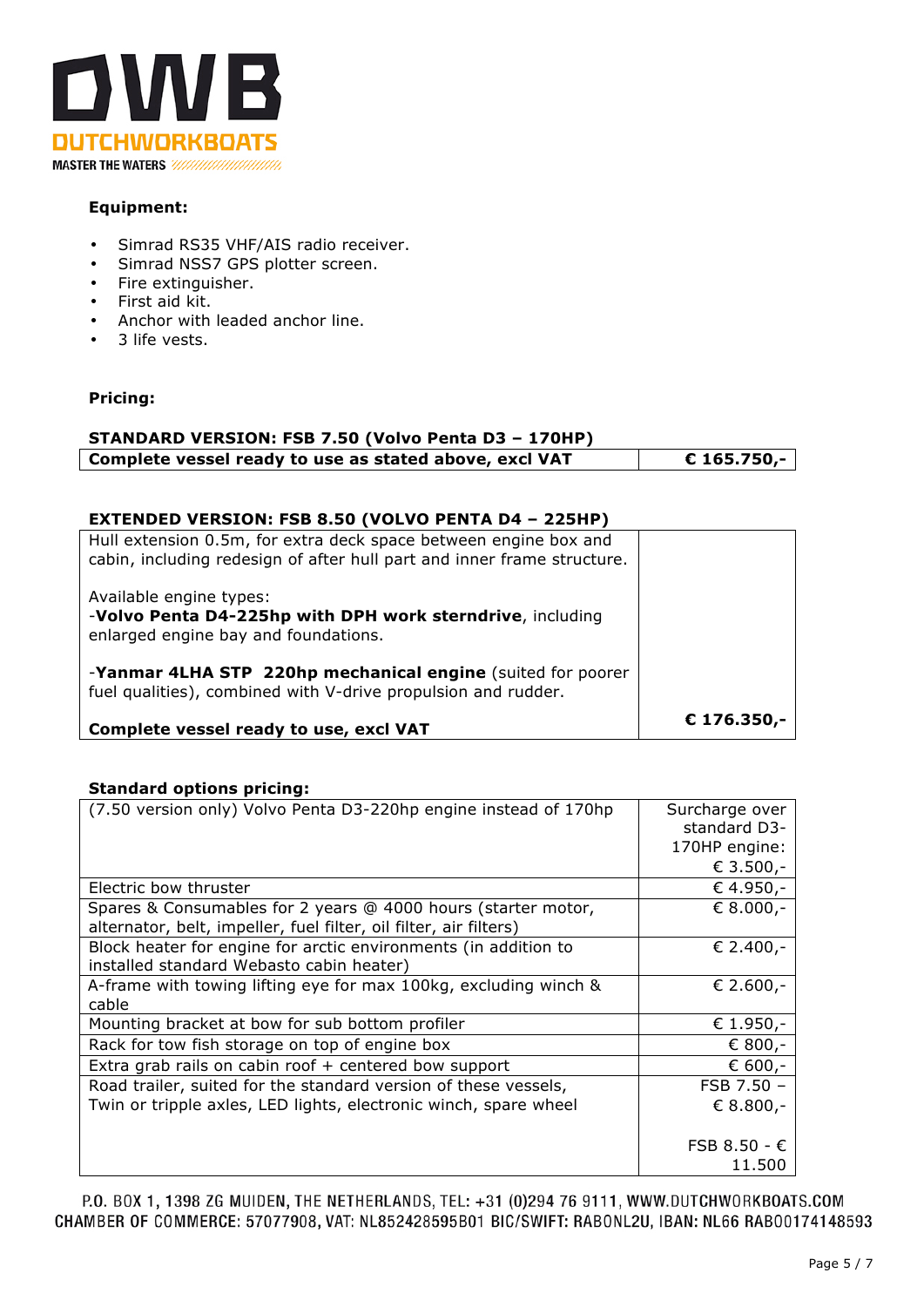

# **Equipment:**

- Simrad RS35 VHF/AIS radio receiver.
- Simrad NSS7 GPS plotter screen.
- Fire extinguisher.
- First aid kit.<br>• Anchor with
- Anchor with leaded anchor line.
- 3 life vests.

# **Pricing:**

| STANDARD VERSION: FSB 7.50 (Volvo Penta D3 - 170HP)    |              |  |
|--------------------------------------------------------|--------------|--|
| Complete vessel ready to use as stated above, excl VAT | $$165.750,-$ |  |

# **EXTENDED VERSION: FSB 8.50 (VOLVO PENTA D4 – 225HP)**

| Hull extension 0.5m, for extra deck space between engine box and<br>cabin, including redesign of after hull part and inner frame structure. |             |
|---------------------------------------------------------------------------------------------------------------------------------------------|-------------|
| Available engine types:<br>-Volvo Penta D4-225hp with DPH work sterndrive, including<br>enlarged engine bay and foundations.                |             |
| -Yanmar 4LHA STP 220hp mechanical engine (suited for poorer<br>fuel qualities), combined with V-drive propulsion and rudder.                |             |
| Complete vessel ready to use, excl VAT                                                                                                      | € 176.350,- |

# **Standard options pricing:**

| (7.50 version only) Volvo Penta D3-220hp engine instead of 170hp  | Surcharge over        |
|-------------------------------------------------------------------|-----------------------|
|                                                                   | standard D3-          |
|                                                                   | 170HP engine:         |
|                                                                   | € 3.500,-             |
| Electric bow thruster                                             | € 4.950,-             |
| Spares & Consumables for 2 years @ 4000 hours (starter motor,     | € 8.000,-             |
| alternator, belt, impeller, fuel filter, oil filter, air filters) |                       |
| Block heater for engine for arctic environments (in addition to   | € 2.400,-             |
| installed standard Webasto cabin heater)                          |                       |
| A-frame with towing lifting eye for max 100kg, excluding winch &  | € 2.600,-             |
| cable                                                             |                       |
| Mounting bracket at bow for sub bottom profiler                   | € 1.950,-             |
| Rack for tow fish storage on top of engine box                    | € 800,-               |
| Extra grab rails on cabin roof + centered bow support             | € 600,-               |
| Road trailer, suited for the standard version of these vessels,   | FSB 7.50 -            |
| Twin or tripple axles, LED lights, electronic winch, spare wheel  | € 8.800,-             |
|                                                                   |                       |
|                                                                   | FSB $8.50 - \epsilon$ |
|                                                                   | 11.500                |

P.O. BOX 1, 1398 ZG MUIDEN, THE NETHERLANDS, TEL: +31 (0)294 76 9111, WWW.DUTCHWORKBOATS.COM CHAMBER OF COMMERCE: 57077908, VAT: NL852428595B01 BIC/SWIFT: RABONL2U, IBAN: NL66 RABO0174148593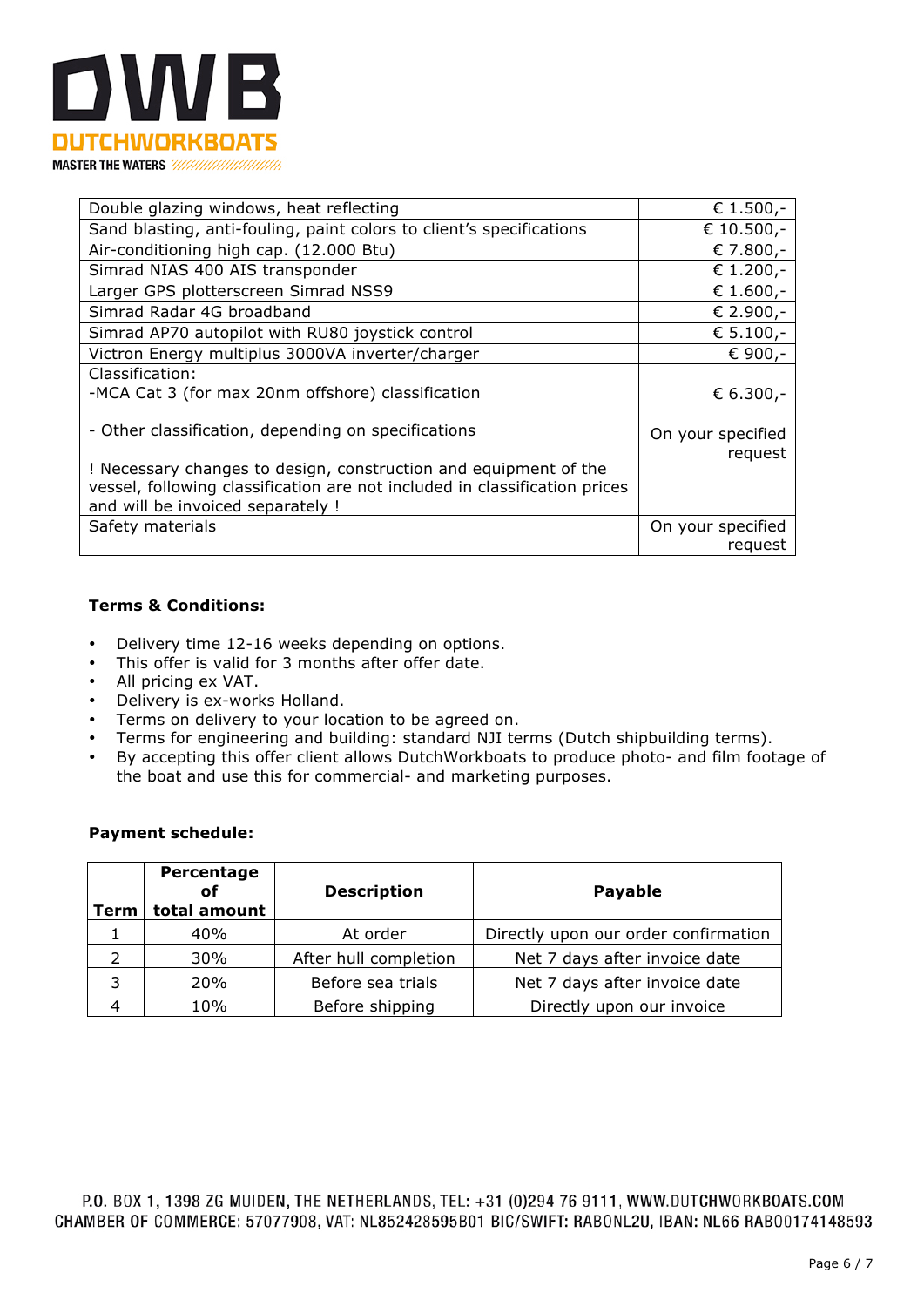

| Double glazing windows, heat reflecting                                                                                                                                                         | € 1.500,-                                 |
|-------------------------------------------------------------------------------------------------------------------------------------------------------------------------------------------------|-------------------------------------------|
| Sand blasting, anti-fouling, paint colors to client's specifications                                                                                                                            | € 10.500,-                                |
| Air-conditioning high cap. (12.000 Btu)                                                                                                                                                         | € 7.800,-                                 |
| Simrad NIAS 400 AIS transponder                                                                                                                                                                 | € 1.200,-                                 |
| Larger GPS plotterscreen Simrad NSS9                                                                                                                                                            | € 1.600,-                                 |
| Simrad Radar 4G broadband                                                                                                                                                                       | € 2.900,-                                 |
| Simrad AP70 autopilot with RU80 joystick control                                                                                                                                                | € 5.100,-                                 |
| Victron Energy multiplus 3000VA inverter/charger                                                                                                                                                | € 900,-                                   |
| Classification:<br>-MCA Cat 3 (for max 20nm offshore) classification<br>- Other classification, depending on specifications<br>! Necessary changes to design, construction and equipment of the | € 6.300,-<br>On your specified<br>request |
| vessel, following classification are not included in classification prices<br>and will be invoiced separately !                                                                                 |                                           |
| Safety materials                                                                                                                                                                                | On your specified<br>request              |

## **Terms & Conditions:**

- Delivery time 12-16 weeks depending on options.
- This offer is valid for 3 months after offer date.
- All pricing ex VAT.
- Delivery is ex-works Holland.
- Terms on delivery to your location to be agreed on.
- Terms for engineering and building: standard NJI terms (Dutch shipbuilding terms).<br>• By accepting this offer client allows DutchWorkboats to produce photo- and film foot
- By accepting this offer client allows DutchWorkboats to produce photo- and film footage of the boat and use this for commercial- and marketing purposes.

### **Payment schedule:**

| Term | Percentage<br>οf<br>total amount | <b>Description</b>    | <b>Payable</b>                       |
|------|----------------------------------|-----------------------|--------------------------------------|
|      | 40%                              | At order              | Directly upon our order confirmation |
|      | 30%                              | After hull completion | Net 7 days after invoice date        |
| 3    | 20%                              | Before sea trials     | Net 7 days after invoice date        |
| 4    | 10%                              | Before shipping       | Directly upon our invoice            |